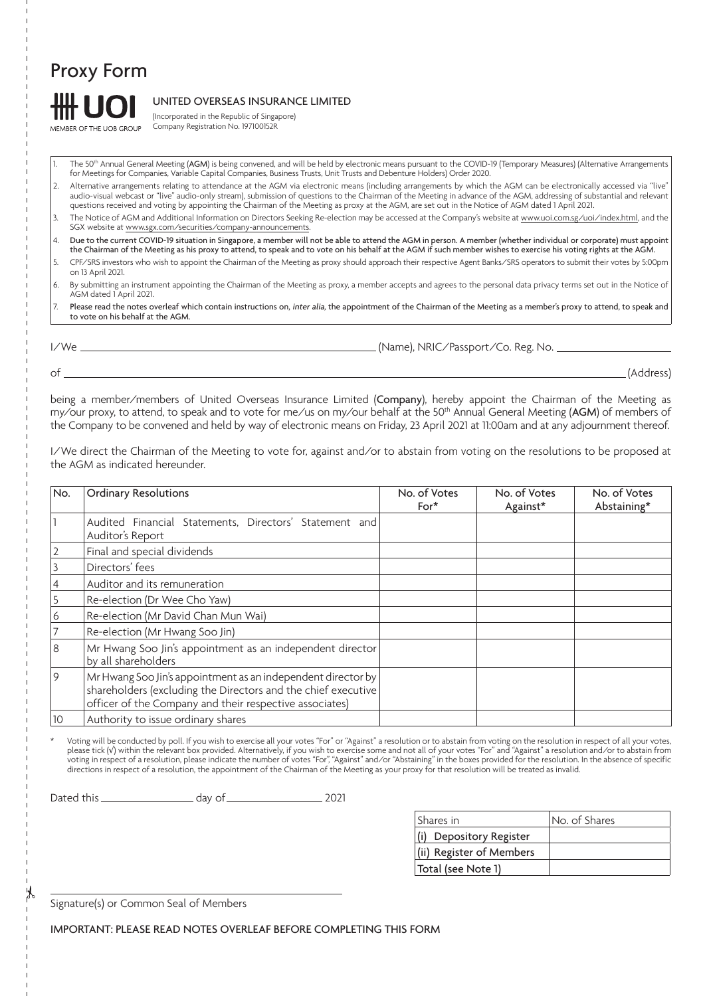# Proxy Form

MEMBER OF THE UOB GROUP

# UNITED OVERSEAS INSURANCE LIMITED

(Incorporated in the Republic of Singapore) Company Registration No. 197100152R

The 50<sup>th</sup> Annual General Meeting (AGM) is being convened, and will be held by electronic means pursuant to the COVID-19 (Temporary Measures) (Alternative Arrangements for Meetings for Companies, Variable Capital Companies, Business Trusts, Unit Trusts and Debenture Holders) Order 2020.

2. Alternative arrangements relating to attendance at the AGM via electronic means (including arrangements by which the AGM can be electronically accessed via "live" audio-visual webcast or "live" audio-only stream), submission of questions to the Chairman of the Meeting in advance of the AGM, addressing of substantial and relevant questions received and voting by appointing the Chairman of the Meeting as proxy at the AGM, are set out in the Notice of AGM dated 1 April 2021.

3. The Notice of AGM and Additional Information on Directors Seeking Re-election may be accessed at the Company's website at www.uoi.com.sg/uoi/index.html, and the SGX website at www.sgx.com/securities/company-announcements.

4. Due to the current COVID-19 situation in Singapore, a member will not be able to attend the AGM in person. A member (whether individual or corporate) must appoint

- the Chairman of the Meeting as his proxy to attend, to speak and to vote on his behalf at the AGM if such member wishes to exercise his voting rights at the AGM. 5. CPF/SRS investors who wish to appoint the Chairman of the Meeting as proxy should approach their respective Agent Banks/SRS operators to submit their votes by 5:00pm
- on 13 April 2021. 6. By submitting an instrument appointing the Chairman of the Meeting as proxy, a member accepts and agrees to the personal data privacy terms set out in the Notice of AGM dated 1 April 2021.
- 7. Please read the notes overleaf which contain instructions on, inter alia, the appointment of the Chairman of the Meeting as a member's proxy to attend, to speak and to vote on his behalf at the AGM.

I/We (Name), NRIC/Passport/Co. Reg. No.

of (Address)

being a member/members of United Overseas Insurance Limited (Company), hereby appoint the Chairman of the Meeting as my/our proxy, to attend, to speak and to vote for me/us on my/our behalf at the 50<sup>th</sup> Annual General Meeting (AGM) of members of the Company to be convened and held by way of electronic means on Friday, 23 April 2021 at 11:00am and at any adjournment thereof.

I/We direct the Chairman of the Meeting to vote for, against and/or to abstain from voting on the resolutions to be proposed at the AGM as indicated hereunder.

| No. | <b>Ordinary Resolutions</b>                                                                                                                                                               | No. of Votes<br>$For*$ | No. of Votes<br>Against* | No. of Votes<br>Abstaining* |
|-----|-------------------------------------------------------------------------------------------------------------------------------------------------------------------------------------------|------------------------|--------------------------|-----------------------------|
|     | Audited Financial Statements, Directors' Statement and<br>Auditor's Report                                                                                                                |                        |                          |                             |
|     | Final and special dividends                                                                                                                                                               |                        |                          |                             |
|     | Directors' fees                                                                                                                                                                           |                        |                          |                             |
|     | Auditor and its remuneration                                                                                                                                                              |                        |                          |                             |
|     | Re-election (Dr Wee Cho Yaw)                                                                                                                                                              |                        |                          |                             |
| 6   | Re-election (Mr David Chan Mun Wai)                                                                                                                                                       |                        |                          |                             |
|     | Re-election (Mr Hwang Soo Jin)                                                                                                                                                            |                        |                          |                             |
| 8   | Mr Hwang Soo Jin's appointment as an independent director<br>by all shareholders                                                                                                          |                        |                          |                             |
| 9   | Mr Hwang Soo Jin's appointment as an independent director by<br>shareholders (excluding the Directors and the chief executive)<br>officer of the Company and their respective associates) |                        |                          |                             |
| 10  | Authority to issue ordinary shares                                                                                                                                                        |                        |                          |                             |

\* Voting will be conducted by poll. If you wish to exercise all your votes "For" or "Against" a resolution or to abstain from voting on the resolution in respect of all your votes, please tick (√) within the relevant box provided. Alternatively, if you wish to exercise some and not all of your votes "For" and "Against" a resolution and ⁄or to abstain from voting in respect of a resolution, please indicate the number of votes "For", "Against" and/or "Abstaining" in the boxes provided for the resolution. In the absence of specific directions in respect of a resolution, the appointment of the Chairman of the Meeting as your proxy for that resolution will be treated as invalid.

Dated this day of 2021

| Shares in                | No. of Shares |  |
|--------------------------|---------------|--|
| (i) Depository Register  |               |  |
| (ii) Register of Members |               |  |
| Total (see Note 1)       |               |  |

Signature(s) or Common Seal of Members

IMPORTANT: PLEASE READ NOTES OVERLEAF BEFORE COMPLETING THIS FORM